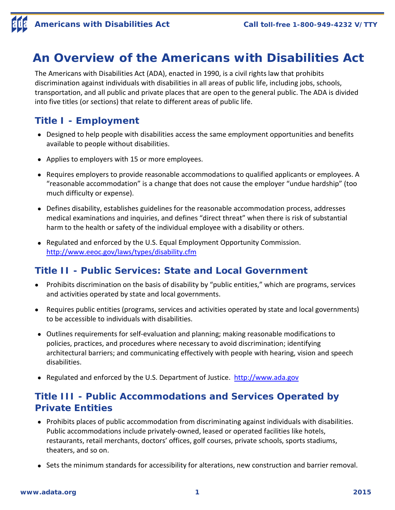# **An Overview of the Americans with Disabilities Act**

The Americans with Disabilities Act (ADA), enacted in 1990, is a civil rights law that prohibits discrimination against individuals with disabilities in all areas of public life, including jobs, schools, transportation, and all public and private places that are open to the general public. The ADA is divided into five titles (or sections) that relate to different areas of public life.

### **Title I - Employment**

- Designed to help people with disabilities access the same employment opportunities and benefits available to people without disabilities.
- Applies to employers with 15 or more employees.
- Requires employers to provide reasonable accommodations to qualified applicants or employees. A "reasonable accommodation" is a change that does not cause the employer "undue hardship" (too much difficulty or expense).
- Defines disability, establishes guidelines for the reasonable accommodation process, addresses medical examinations and inquiries, and defines "direct threat" when there is risk of substantial harm to the health or safety of the individual employee with a disability or others.
- Regulated and enforced by the U.S. Equal Employment Opportunity Commission. http://www.eeoc.gov/laws/types/disability.cfm

#### **Title II - Public Services: State and Local Government**

- Prohibits discrimination on the basis of disability by "public entities," which are programs, services and activities operated by state and local governments.
- Requires public entities (programs, services and activities operated by state and local governments) to be accessible to individuals with disabilities.
- Outlines requirements for self-evaluation and planning; making reasonable modifications to policies, practices, and procedures where necessary to avoid discrimination; identifying architectural barriers; and communicating effectively with people with hearing, vision and speech disabilities.
- Regulated and enforced by the U.S. Department of Justice. http://www.ada.gov

## **Title III - Public Accommodations and Services Operated by Private Entities**

- Prohibits places of public accommodation from discriminating against individuals with disabilities. Public accommodations include privately-owned, leased or operated facilities like hotels, restaurants, retail merchants, doctors' offices, golf courses, private schools, sports stadiums, theaters, and so on.
- Sets the minimum standards for accessibility for alterations, new construction and barrier removal.